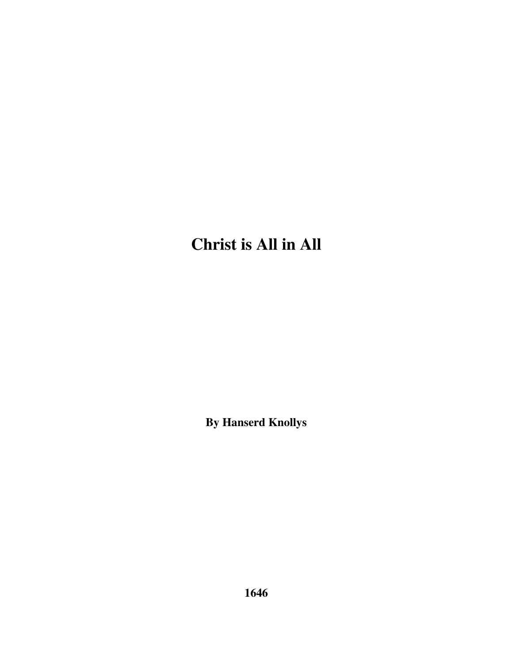## **Christ is All in All**

**By Hanserd Knollys**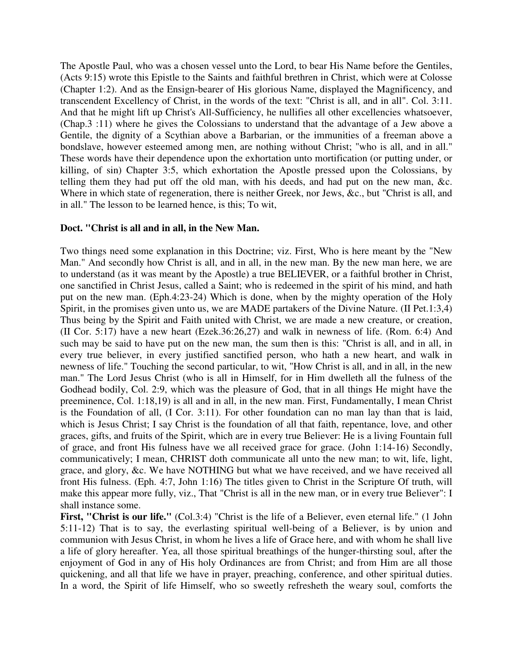The Apostle Paul, who was a chosen vessel unto the Lord, to bear His Name before the Gentiles, (Acts 9:15) wrote this Epistle to the Saints and faithful brethren in Christ, which were at Colosse (Chapter 1:2). And as the Ensign-bearer of His glorious Name, displayed the Magnificency, and transcendent Excellency of Christ, in the words of the text: "Christ is all, and in all". Col. 3:11. And that he might lift up Christ's All-Sufficiency, he nullifies all other excellencies whatsoever, (Chap.3 :11) where he gives the Colossians to understand that the advantage of a Jew above a Gentile, the dignity of a Scythian above a Barbarian, or the immunities of a freeman above a bondslave, however esteemed among men, are nothing without Christ; "who is all, and in all." These words have their dependence upon the exhortation unto mortification (or putting under, or killing, of sin) Chapter 3:5, which exhortation the Apostle pressed upon the Colossians, by telling them they had put off the old man, with his deeds, and had put on the new man, &c. Where in which state of regeneration, there is neither Greek, nor Jews, &c., but "Christ is all, and in all." The lesson to be learned hence, is this; To wit,

## **Doct. "Christ is all and in all, in the New Man.**

Two things need some explanation in this Doctrine; viz. First, Who is here meant by the "New Man." And secondly how Christ is all, and in all, in the new man. By the new man here, we are to understand (as it was meant by the Apostle) a true BELIEVER, or a faithful brother in Christ, one sanctified in Christ Jesus, called a Saint; who is redeemed in the spirit of his mind, and hath put on the new man. (Eph.4:23-24) Which is done, when by the mighty operation of the Holy Spirit, in the promises given unto us, we are MADE partakers of the Divine Nature. (II Pet.1:3,4) Thus being by the Spirit and Faith united with Christ, we are made a new creature, or creation, (II Cor. 5:17) have a new heart (Ezek.36:26,27) and walk in newness of life. (Rom. 6:4) And such may be said to have put on the new man, the sum then is this: "Christ is all, and in all, in every true believer, in every justified sanctified person, who hath a new heart, and walk in newness of life." Touching the second particular, to wit, "How Christ is all, and in all, in the new man." The Lord Jesus Christ (who is all in Himself, for in Him dwelleth all the fulness of the Godhead bodily, Col. 2:9, which was the pleasure of God, that in all things He might have the preeminence, Col. 1:18,19) is all and in all, in the new man. First, Fundamentally, I mean Christ is the Foundation of all, (I Cor. 3:11). For other foundation can no man lay than that is laid, which is Jesus Christ; I say Christ is the foundation of all that faith, repentance, love, and other graces, gifts, and fruits of the Spirit, which are in every true Believer: He is a living Fountain full of grace, and front His fulness have we all received grace for grace. (John 1:14-16) Secondly, communicatively; I mean, CHRIST doth communicate all unto the new man; to wit, life, light, grace, and glory, &c. We have NOTHING but what we have received, and we have received all front His fulness. (Eph. 4:7, John 1:16) The titles given to Christ in the Scripture Of truth, will make this appear more fully, viz., That "Christ is all in the new man, or in every true Believer": I shall instance some.

First, "Christ is our life." (Col.3:4) "Christ is the life of a Believer, even eternal life." (1 John 5:11-12) That is to say, the everlasting spiritual well-being of a Believer, is by union and communion with Jesus Christ, in whom he lives a life of Grace here, and with whom he shall live a life of glory hereafter. Yea, all those spiritual breathings of the hunger-thirsting soul, after the enjoyment of God in any of His holy Ordinances are from Christ; and from Him are all those quickening, and all that life we have in prayer, preaching, conference, and other spiritual duties. In a word, the Spirit of life Himself, who so sweetly refresheth the weary soul, comforts the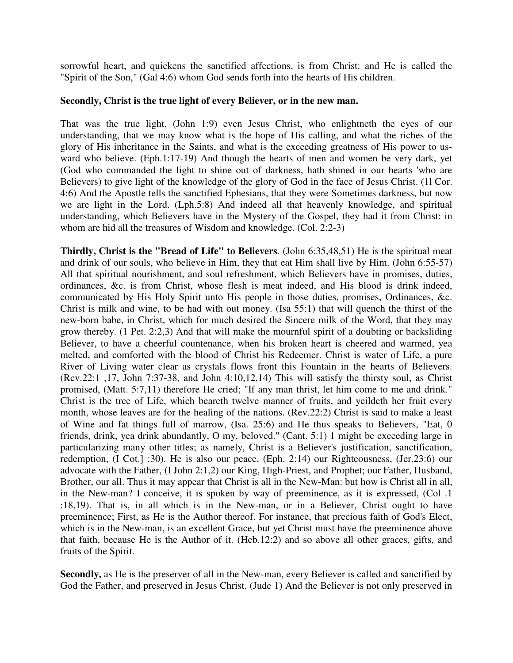sorrowful heart, and quickens the sanctified affections, is from Christ: and He is called the "Spirit of the Son," (Gal 4:6) whom God sends forth into the hearts of His children.

## **Secondly, Christ is the true light of every Believer, or in the new man.**

That was the true light, (John 1:9) even Jesus Christ, who enlightneth the eyes of our understanding, that we may know what is the hope of His calling, and what the riches of the glory of His inheritance in the Saints, and what is the exceeding greatness of His power to usward who believe. (Eph.1:17-19) And though the hearts of men and women be very dark, yet (God who commanded the light to shine out of darkness, hath shined in our hearts 'who are Believers) to give light of the knowledge of the glory of God in the face of Jesus Christ. (1l Cor. 4:6) And the Apostle tells the sanctified Ephesians, that they were Sometimes darkness, but now we are light in the Lord. (Lph.5:8) And indeed all that heavenly knowledge, and spiritual understanding, which Believers have in the Mystery of the Gospel, they had it from Christ: in whom are hid all the treasures of Wisdom and knowledge. (Col. 2:2-3)

**Thirdly, Christ is the "Bread of Life" to Believers**. (John 6:35,48,51) He is the spiritual meat and drink of our souls, who believe in Him, they that eat Him shall live by Him. (John 6:55-57) All that spiritual nourishment, and soul refreshment, which Believers have in promises, duties, ordinances, &c. is from Christ, whose flesh is meat indeed, and His blood is drink indeed, communicated by His Holy Spirit unto His people in those duties, promises, Ordinances, &c. Christ is milk and wine, to be had with out money. (Isa 55:1) that will quench the thirst of the new-born babe, in Christ, which for much desired the Sincere milk of the Word, that they may grow thereby. (1 Pet. 2:2,3) And that will make the mournful spirit of a doubting or backsliding Believer, to have a cheerful countenance, when his broken heart is cheered and warmed, yea melted, and comforted with the blood of Christ his Redeemer. Christ is water of Life, a pure River of Living water clear as crystals flows front this Fountain in the hearts of Believers. (Rcv.22:1 ,17, John 7:37-38, and John 4:10,12,14) This will satisfy the thirsty soul, as Christ promised, (Matt. 5:7,11) therefore He cried; "If any man thrist, let him come to me and drink." Christ is the tree of Life, which beareth twelve manner of fruits, and yeildeth her fruit every month, whose leaves are for the healing of the nations. (Rev.22:2) Christ is said to make a least of Wine and fat things full of marrow, (Isa. 25:6) and He thus speaks to Believers, "Eat, 0 friends, drink, yea drink abundantly, O my, beloved." (Cant. 5:1) 1 might be exceeding large in particularizing many other titles; as namely, Christ is a Believer's justification, sanctification, redemption, (I Cot.] :30). He is also our peace, (Eph. 2:14) our Righteousness, (Jer.23:6) our advocate with the Father, (I John 2:1,2) our King, High-Priest, and Prophet; our Father, Husband, Brother, our all. Thus it may appear that Christ is all in the New-Man: but how is Christ all in all, in the New-man? I conceive, it is spoken by way of preeminence, as it is expressed, (Col .1 :18,19). That is, in all which is in the New-man, or in a Believer, Christ ought to have preeminence; First, as He is the Author thereof. For instance, that precious faith of God's Elect, which is in the New-man, is an excellent Grace, but yet Christ must have the preeminence above that faith, because He is the Author of it. (Heb.12:2) and so above all other graces, gifts, and fruits of the Spirit.

**Secondly,** as He is the preserver of all in the New-man, every Believer is called and sanctified by God the Father, and preserved in Jesus Christ. (Jude 1) And the Believer is not only preserved in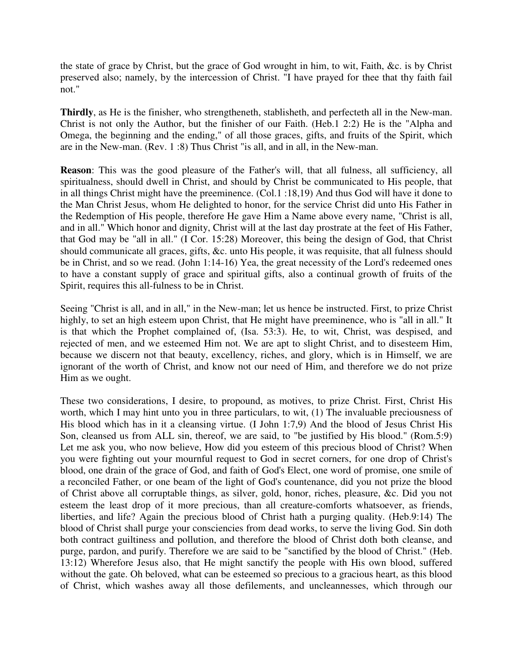the state of grace by Christ, but the grace of God wrought in him, to wit, Faith, &c. is by Christ preserved also; namely, by the intercession of Christ. "I have prayed for thee that thy faith fail not."

**Thirdly**, as He is the finisher, who strengtheneth, stablisheth, and perfecteth all in the New-man. Christ is not only the Author, but the finisher of our Faith. (Heb.1 2:2) He is the "Alpha and Omega, the beginning and the ending," of all those graces, gifts, and fruits of the Spirit, which are in the New-man. (Rev. 1 :8) Thus Christ "is all, and in all, in the New-man.

**Reason**: This was the good pleasure of the Father's will, that all fulness, all sufficiency, all spiritualness, should dwell in Christ, and should by Christ be communicated to His people, that in all things Christ might have the preeminence. (Col.1 :18,19) And thus God will have it done to the Man Christ Jesus, whom He delighted to honor, for the service Christ did unto His Father in the Redemption of His people, therefore He gave Him a Name above every name, "Christ is all, and in all." Which honor and dignity, Christ will at the last day prostrate at the feet of His Father, that God may be "all in all." (I Cor. 15:28) Moreover, this being the design of God, that Christ should communicate all graces, gifts, &c. unto His people, it was requisite, that all fulness should be in Christ, and so we read. (John 1:14-16) Yea, the great necessity of the Lord's redeemed ones to have a constant supply of grace and spiritual gifts, also a continual growth of fruits of the Spirit, requires this all-fulness to be in Christ.

Seeing "Christ is all, and in all," in the New-man; let us hence be instructed. First, to prize Christ highly, to set an high esteem upon Christ, that He might have preeminence, who is "all in all." It is that which the Prophet complained of, (Isa. 53:3). He, to wit, Christ, was despised, and rejected of men, and we esteemed Him not. We are apt to slight Christ, and to disesteem Him, because we discern not that beauty, excellency, riches, and glory, which is in Himself, we are ignorant of the worth of Christ, and know not our need of Him, and therefore we do not prize Him as we ought.

These two considerations, I desire, to propound, as motives, to prize Christ. First, Christ His worth, which I may hint unto you in three particulars, to wit, (1) The invaluable preciousness of His blood which has in it a cleansing virtue. (I John 1:7,9) And the blood of Jesus Christ His Son, cleansed us from ALL sin, thereof, we are said, to "be justified by His blood." (Rom.5:9) Let me ask you, who now believe, How did you esteem of this precious blood of Christ? When you were fighting out your mournful request to God in secret corners, for one drop of Christ's blood, one drain of the grace of God, and faith of God's Elect, one word of promise, one smile of a reconciled Father, or one beam of the light of God's countenance, did you not prize the blood of Christ above all corruptable things, as silver, gold, honor, riches, pleasure, &c. Did you not esteem the least drop of it more precious, than all creature-comforts whatsoever, as friends, liberties, and life? Again the precious blood of Christ hath a purging quality. (Heb.9:14) The blood of Christ shall purge your consciencies from dead works, to serve the living God. Sin doth both contract guiltiness and pollution, and therefore the blood of Christ doth both cleanse, and purge, pardon, and purify. Therefore we are said to be "sanctified by the blood of Christ." (Heb. 13:12) Wherefore Jesus also, that He might sanctify the people with His own blood, suffered without the gate. Oh beloved, what can be esteemed so precious to a gracious heart, as this blood of Christ, which washes away all those defilements, and uncleannesses, which through our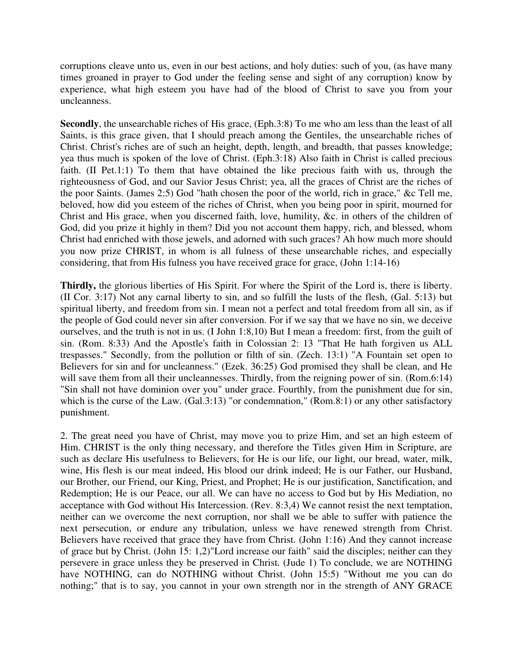corruptions cleave unto us, even in our best actions, and holy duties: such of you, (as have many times groaned in prayer to God under the feeling sense and sight of any corruption) know by experience, what high esteem you have had of the blood of Christ to save you from your uncleanness.

**Secondly**, the unsearchable riches of His grace, (Eph.3:8) To me who am less than the least of all Saints, is this grace given, that I should preach among the Gentiles, the unsearchable riches of Christ. Christ's riches are of such an height, depth, length, and breadth, that passes knowledge; yea thus much is spoken of the love of Christ. (Eph.3:18) Also faith in Christ is called precious faith. (II Pet.1:1) To them that have obtained the like precious faith with us, through the righteousness of God, and our Savior Jesus Christ; yea, all the graces of Christ are the riches of the poor Saints. (James 2:5) God "hath chosen the poor of the world, rich in grace," &c Tell me, beloved, how did you esteem of the riches of Christ, when you being poor in spirit, mourned for Christ and His grace, when you discerned faith, love, humility, &c. in others of the children of God, did you prize it highly in them? Did you not account them happy, rich, and blessed, whom Christ had enriched with those jewels, and adorned with such graces? Ah how much more should you now prize CHRIST, in whom is all fulness of these unsearchable riches, and especially considering, that from His fulness you have received grace for grace, (John 1:14-16)

**Thirdly,** the glorious liberties of His Spirit. For where the Spirit of the Lord is, there is liberty. (II Cor. 3:17) Not any carnal liberty to sin, and so fulfill the lusts of the flesh, (Gal. 5:13) but spiritual liberty, and freedom from sin. I mean not a perfect and total freedom from all sin, as if the people of God could never sin after conversion. For if we say that we have no sin, we deceive ourselves, and the truth is not in us. (I John 1:8,10) But I mean a freedom: first, from the guilt of sin. (Rom. 8:33) And the Apostle's faith in Colossian 2: 13 "That He hath forgiven us ALL trespasses." Secondly, from the pollution or filth of sin. (Zech. 13:1) "A Fountain set open to Believers for sin and for uncleanness." (Ezek. 36:25) God promised they shall be clean, and He will save them from all their uncleannesses. Thirdly, from the reigning power of sin. (Rom.6:14) "Sin shall not have dominion over you" under grace. Fourthly, from the punishment due for sin, which is the curse of the Law. (Gal.3:13) "or condemnation," (Rom.8:1) or any other satisfactory punishment.

2. The great need you have of Christ, may move you to prize Him, and set an high esteem of Him. CHRIST is the only thing necessary, and therefore the Titles given Him in Scripture, are such as declare His usefulness to Believers, for He is our life, our light, our bread, water, milk, wine, His flesh is our meat indeed, His blood our drink indeed; He is our Father, our Husband, our Brother, our Friend, our King, Priest, and Prophet; He is our justification, Sanctification, and Redemption; He is our Peace, our all. We can have no access to God but by His Mediation, no acceptance with God without His Intercession. (Rev. 8:3,4) We cannot resist the next temptation, neither can we overcome the next corruption, nor shall we be able to suffer with patience the next persecution, or endure any tribulation, unless we have renewed strength from Christ. Believers have received that grace they have from Christ. (John 1:16) And they cannot increase of grace but by Christ. (John 15: 1,2)"Lord increase our faith" said the disciples; neither can they persevere in grace unless they be preserved in Christ. (Jude 1) To conclude, we are NOTHING have NOTHING, can do NOTHING without Christ. (John 15:5) "Without me you can do nothing;" that is to say, you cannot in your own strength nor in the strength of ANY GRACE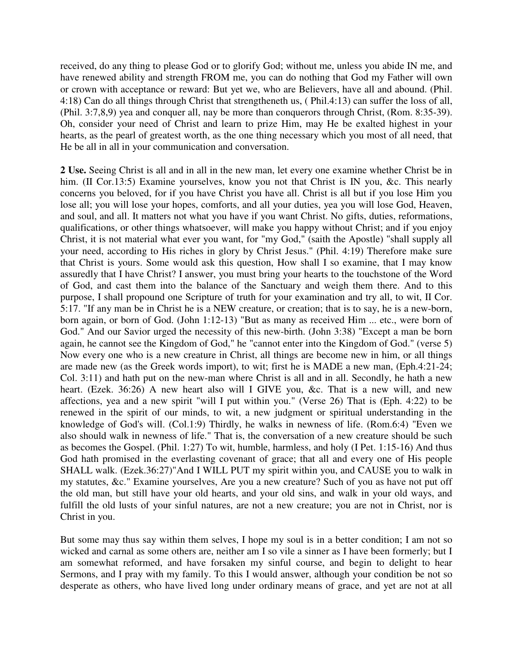received, do any thing to please God or to glorify God; without me, unless you abide IN me, and have renewed ability and strength FROM me, you can do nothing that God my Father will own or crown with acceptance or reward: But yet we, who are Believers, have all and abound. (Phil. 4:18) Can do all things through Christ that strengtheneth us, ( Phil.4:13) can suffer the loss of all, (Phil. 3:7,8,9) yea and conquer all, nay be more than conquerors through Christ, (Rom. 8:35-39). Oh, consider your need of Christ and learn to prize Him, may He be exalted highest in your hearts, as the pearl of greatest worth, as the one thing necessary which you most of all need, that He be all in all in your communication and conversation.

**2 Use.** Seeing Christ is all and in all in the new man, let every one examine whether Christ be in him. (II Cor.13:5) Examine yourselves, know you not that Christ is IN you, &c. This nearly concerns you beloved, for if you have Christ you have all. Christ is all but if you lose Him you lose all; you will lose your hopes, comforts, and all your duties, yea you will lose God, Heaven, and soul, and all. It matters not what you have if you want Christ. No gifts, duties, reformations, qualifications, or other things whatsoever, will make you happy without Christ; and if you enjoy Christ, it is not material what ever you want, for "my God," (saith the Apostle) "shall supply all your need, according to His riches in glory by Christ Jesus." (Phil. 4:19) Therefore make sure that Christ is yours. Some would ask this question, How shall I so examine, that I may know assuredly that I have Christ? I answer, you must bring your hearts to the touchstone of the Word of God, and cast them into the balance of the Sanctuary and weigh them there. And to this purpose, I shall propound one Scripture of truth for your examination and try all, to wit, II Cor. 5:17. "If any man be in Christ he is a NEW creature, or creation; that is to say, he is a new-born, born again, or born of God. (John 1:12-13) "But as many as received Him ... etc., were born of God." And our Savior urged the necessity of this new-birth. (John 3:38) "Except a man be born again, he cannot see the Kingdom of God," he "cannot enter into the Kingdom of God." (verse 5) Now every one who is a new creature in Christ, all things are become new in him, or all things are made new (as the Greek words import), to wit; first he is MADE a new man, (Eph.4:21-24; Col. 3:11) and hath put on the new-man where Christ is all and in all. Secondly, he hath a new heart. (Ezek. 36:26) A new heart also will I GIVE you, &c. That is a new will, and new affections, yea and a new spirit "will I put within you." (Verse 26) That is (Eph. 4:22) to be renewed in the spirit of our minds, to wit, a new judgment or spiritual understanding in the knowledge of God's will. (Col.1:9) Thirdly, he walks in newness of life. (Rom.6:4) "Even we also should walk in newness of life." That is, the conversation of a new creature should be such as becomes the Gospel. (Phil. 1:27) To wit, humble, harmless, and holy (I Pet. 1:15-16) And thus God hath promised in the everlasting covenant of grace; that all and every one of His people SHALL walk. (Ezek.36:27)"And I WILL PUT my spirit within you, and CAUSE you to walk in my statutes, &c." Examine yourselves, Are you a new creature? Such of you as have not put off the old man, but still have your old hearts, and your old sins, and walk in your old ways, and fulfill the old lusts of your sinful natures, are not a new creature; you are not in Christ, nor is Christ in you.

But some may thus say within them selves, I hope my soul is in a better condition; I am not so wicked and carnal as some others are, neither am I so vile a sinner as I have been formerly; but I am somewhat reformed, and have forsaken my sinful course, and begin to delight to hear Sermons, and I pray with my family. To this I would answer, although your condition be not so desperate as others, who have lived long under ordinary means of grace, and yet are not at all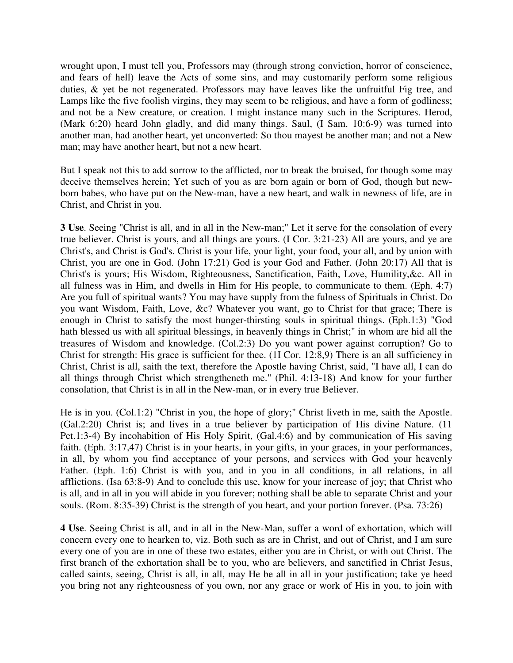wrought upon, I must tell you, Professors may (through strong conviction, horror of conscience, and fears of hell) leave the Acts of some sins, and may customarily perform some religious duties, & yet be not regenerated. Professors may have leaves like the unfruitful Fig tree, and Lamps like the five foolish virgins, they may seem to be religious, and have a form of godliness; and not be a New creature, or creation. I might instance many such in the Scriptures. Herod, (Mark 6:20) heard John gladly, and did many things. Saul, (I Sam. 10:6-9) was turned into another man, had another heart, yet unconverted: So thou mayest be another man; and not a New man; may have another heart, but not a new heart.

But I speak not this to add sorrow to the afflicted, nor to break the bruised, for though some may deceive themselves herein; Yet such of you as are born again or born of God, though but newborn babes, who have put on the New-man, have a new heart, and walk in newness of life, are in Christ, and Christ in you.

**3 Use**. Seeing "Christ is all, and in all in the New-man;" Let it serve for the consolation of every true believer. Christ is yours, and all things are yours. (I Cor. 3:21-23) All are yours, and ye are Christ's, and Christ is God's. Christ is your life, your light, your food, your all, and by union with Christ, you are one in God. (John 17:21) God is your God and Father. (John 20:17) All that is Christ's is yours; His Wisdom, Righteousness, Sanctification, Faith, Love, Humility,&c. All in all fulness was in Him, and dwells in Him for His people, to communicate to them. (Eph. 4:7) Are you full of spiritual wants? You may have supply from the fulness of Spirituals in Christ. Do you want Wisdom, Faith, Love, &c? Whatever you want, go to Christ for that grace; There is enough in Christ to satisfy the most hunger-thirsting souls in spiritual things. (Eph.1:3) "God hath blessed us with all spiritual blessings, in heavenly things in Christ;" in whom are hid all the treasures of Wisdom and knowledge. (Col.2:3) Do you want power against corruption? Go to Christ for strength: His grace is sufficient for thee. (1I Cor. 12:8,9) There is an all sufficiency in Christ, Christ is all, saith the text, therefore the Apostle having Christ, said, "I have all, I can do all things through Christ which strengtheneth me." (Phil. 4:13-18) And know for your further consolation, that Christ is in all in the New-man, or in every true Believer.

He is in you. (Col.1:2) "Christ in you, the hope of glory;" Christ liveth in me, saith the Apostle. (Gal.2:20) Christ is; and lives in a true believer by participation of His divine Nature. (11 Pet.1:3-4) By incohabition of His Holy Spirit, (Gal.4:6) and by communication of His saving faith. (Eph. 3:17,47) Christ is in your hearts, in your gifts, in your graces, in your performances, in all, by whom you find acceptance of your persons, and services with God your heavenly Father. (Eph. 1:6) Christ is with you, and in you in all conditions, in all relations, in all afflictions. (Isa 63:8-9) And to conclude this use, know for your increase of joy; that Christ who is all, and in all in you will abide in you forever; nothing shall be able to separate Christ and your souls. (Rom. 8:35-39) Christ is the strength of you heart, and your portion forever. (Psa. 73:26)

**4 Use**. Seeing Christ is all, and in all in the New-Man, suffer a word of exhortation, which will concern every one to hearken to, viz. Both such as are in Christ, and out of Christ, and I am sure every one of you are in one of these two estates, either you are in Christ, or with out Christ. The first branch of the exhortation shall be to you, who are believers, and sanctified in Christ Jesus, called saints, seeing, Christ is all, in all, may He be all in all in your justification; take ye heed you bring not any righteousness of you own, nor any grace or work of His in you, to join with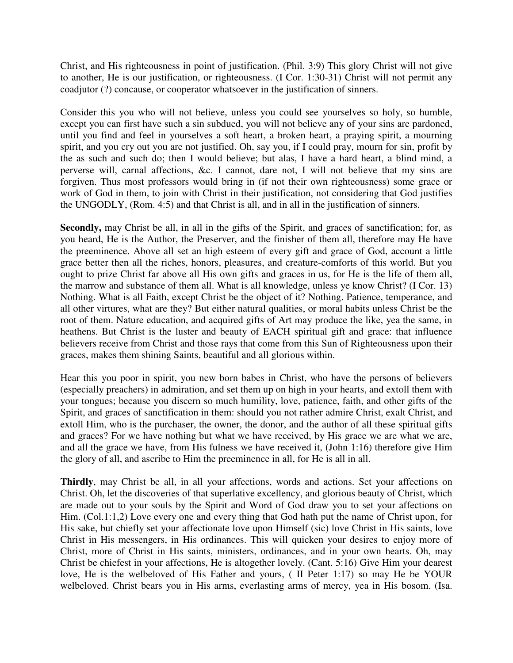Christ, and His righteousness in point of justification. (Phil. 3:9) This glory Christ will not give to another, He is our justification, or righteousness. (I Cor. 1:30-31) Christ will not permit any coadjutor (?) concause, or cooperator whatsoever in the justification of sinners.

Consider this you who will not believe, unless you could see yourselves so holy, so humble, except you can first have such a sin subdued, you will not believe any of your sins are pardoned, until you find and feel in yourselves a soft heart, a broken heart, a praying spirit, a mourning spirit, and you cry out you are not justified. Oh, say you, if I could pray, mourn for sin, profit by the as such and such do; then I would believe; but alas, I have a hard heart, a blind mind, a perverse will, carnal affections, &c. I cannot, dare not, I will not believe that my sins are forgiven. Thus most professors would bring in (if not their own righteousness) some grace or work of God in them, to join with Christ in their justification, not considering that God justifies the UNGODLY, (Rom. 4:5) and that Christ is all, and in all in the justification of sinners.

Secondly, may Christ be all, in all in the gifts of the Spirit, and graces of sanctification; for, as you heard, He is the Author, the Preserver, and the finisher of them all, therefore may He have the preeminence. Above all set an high esteem of every gift and grace of God, account a little grace better then all the riches, honors, pleasures, and creature-comforts of this world. But you ought to prize Christ far above all His own gifts and graces in us, for He is the life of them all, the marrow and substance of them all. What is all knowledge, unless ye know Christ? (I Cor. 13) Nothing. What is all Faith, except Christ be the object of it? Nothing. Patience, temperance, and all other virtures, what are they? But either natural qualities, or moral habits unless Christ be the root of them. Nature education, and acquired gifts of Art may produce the like, yea the same, in heathens. But Christ is the luster and beauty of EACH spiritual gift and grace: that influence believers receive from Christ and those rays that come from this Sun of Righteousness upon their graces, makes them shining Saints, beautiful and all glorious within.

Hear this you poor in spirit, you new born babes in Christ, who have the persons of believers (especially preachers) in admiration, and set them up on high in your hearts, and extoll them with your tongues; because you discern so much humility, love, patience, faith, and other gifts of the Spirit, and graces of sanctification in them: should you not rather admire Christ, exalt Christ, and extoll Him, who is the purchaser, the owner, the donor, and the author of all these spiritual gifts and graces? For we have nothing but what we have received, by His grace we are what we are, and all the grace we have, from His fulness we have received it, (John 1:16) therefore give Him the glory of all, and ascribe to Him the preeminence in all, for He is all in all.

**Thirdly**, may Christ be all, in all your affections, words and actions. Set your affections on Christ. Oh, let the discoveries of that superlative excellency, and glorious beauty of Christ, which are made out to your souls by the Spirit and Word of God draw you to set your affections on Him. (Col.1:1,2) Love every one and every thing that God hath put the name of Christ upon, for His sake, but chiefly set your affectionate love upon Himself (sic) love Christ in His saints, love Christ in His messengers, in His ordinances. This will quicken your desires to enjoy more of Christ, more of Christ in His saints, ministers, ordinances, and in your own hearts. Oh, may Christ be chiefest in your affections, He is altogether lovely. (Cant. 5:16) Give Him your dearest love, He is the welbeloved of His Father and yours, ( II Peter 1:17) so may He be YOUR welbeloved. Christ bears you in His arms, everlasting arms of mercy, yea in His bosom. (Isa.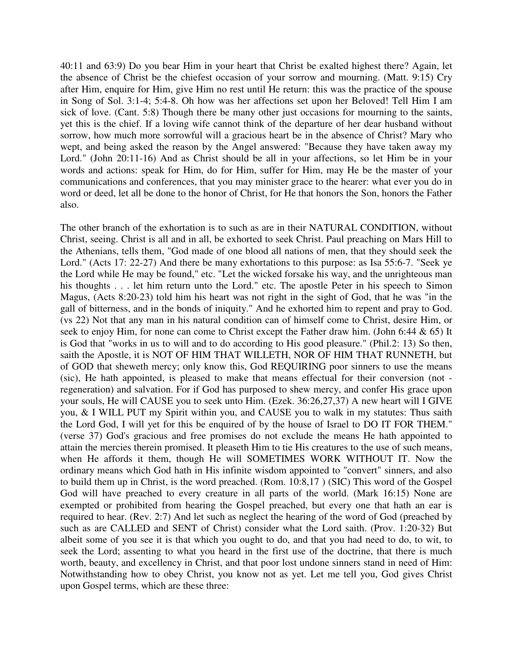40:11 and 63:9) Do you bear Him in your heart that Christ be exalted highest there? Again, let the absence of Christ be the chiefest occasion of your sorrow and mourning. (Matt. 9:15) Cry after Him, enquire for Him, give Him no rest until He return: this was the practice of the spouse in Song of Sol. 3:1-4; 5:4-8. Oh how was her affections set upon her Beloved! Tell Him I am sick of love. (Cant. 5:8) Though there be many other just occasions for mourning to the saints, yet this is the chief. If a loving wife cannot think of the departure of her dear husband without sorrow, how much more sorrowful will a gracious heart be in the absence of Christ? Mary who wept, and being asked the reason by the Angel answered: "Because they have taken away my Lord." (John 20:11-16) And as Christ should be all in your affections, so let Him be in your words and actions: speak for Him, do for Him, suffer for Him, may He be the master of your communications and conferences, that you may minister grace to the hearer: what ever you do in word or deed, let all be done to the honor of Christ, for He that honors the Son, honors the Father also.

The other branch of the exhortation is to such as are in their NATURAL CONDITION, without Christ, seeing. Christ is all and in all, be exhorted to seek Christ. Paul preaching on Mars Hill to the Athenians, tells them, "God made of one blood all nations of men, that they should seek the Lord." (Acts 17: 22-27) And there be many exhortations to this purpose: as Isa 55:6-7. "Seek ye the Lord while He may be found," etc. "Let the wicked forsake his way, and the unrighteous man his thoughts . . . let him return unto the Lord." etc. The apostle Peter in his speech to Simon Magus, (Acts 8:20-23) told him his heart was not right in the sight of God, that he was "in the gall of bitterness, and in the bonds of iniquity." And he exhorted him to repent and pray to God. (vs 22) Not that any man in his natural condition can of himself come to Christ, desire Him, or seek to enjoy Him, for none can come to Christ except the Father draw him. (John 6:44 & 65) It is God that "works in us to will and to do according to His good pleasure." (Phil.2: 13) So then, saith the Apostle, it is NOT OF HIM THAT WILLETH, NOR OF HIM THAT RUNNETH, but of GOD that sheweth mercy; only know this, God REQUIRING poor sinners to use the means (sic), He hath appointed, is pleased to make that means effectual for their conversion (not regeneration) and salvation. For if God has purposed to shew mercy, and confer His grace upon your souls, He will CAUSE you to seek unto Him. (Ezek. 36:26,27,37) A new heart will I GIVE you, & I WILL PUT my Spirit within you, and CAUSE you to walk in my statutes: Thus saith the Lord God, I will yet for this be enquired of by the house of Israel to DO IT FOR THEM." (verse 37) God's gracious and free promises do not exclude the means He hath appointed to attain the mercies therein promised. It pleaseth Him to tie His creatures to the use of such means, when He affords it them, though He will SOMETIMES WORK WITHOUT IT. Now the ordinary means which God hath in His infinite wisdom appointed to "convert" sinners, and also to build them up in Christ, is the word preached. (Rom. 10:8,17 ) (SIC) This word of the Gospel God will have preached to every creature in all parts of the world. (Mark 16:15) None are exempted or prohibited from hearing the Gospel preached, but every one that hath an ear is required to hear. (Rev. 2:7) And let such as neglect the hearing of the word of God (preached by such as are CALLED and SENT of Christ) consider what the Lord saith. (Prov. 1:20-32) But albeit some of you see it is that which you ought to do, and that you had need to do, to wit, to seek the Lord; assenting to what you heard in the first use of the doctrine, that there is much worth, beauty, and excellency in Christ, and that poor lost undone sinners stand in need of Him: Notwithstanding how to obey Christ, you know not as yet. Let me tell you, God gives Christ upon Gospel terms, which are these three: